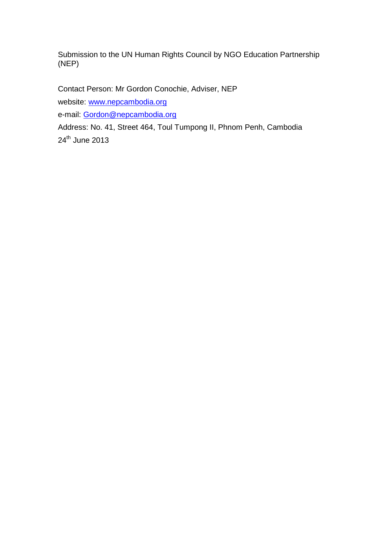Submission to the UN Human Rights Council by NGO Education Partnership (NEP)

Contact Person: Mr Gordon Conochie, Adviser, NEP

website: [www.nepcambodia.org](http://www.nepcambodia.org/)

e-mail: [Gordon@nepcambodia.org](mailto:Gordon@nepcambodia.org)

Address: No. 41, Street 464, Toul Tumpong II, Phnom Penh, Cambodia 24<sup>th</sup> June 2013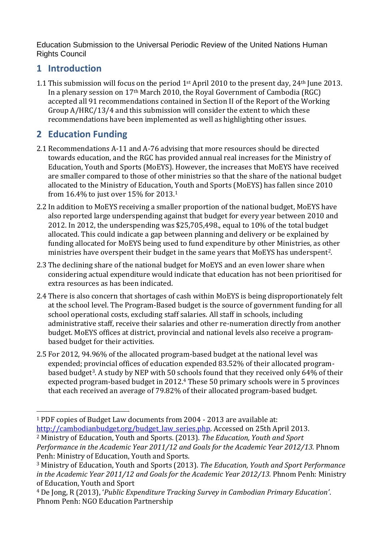Education Submission to the Universal Periodic Review of the United Nations Human Rights Council

## **1 Introduction**

1.1 This submission will focus on the period  $1<sup>st</sup>$  April 2010 to the present day, 24<sup>th</sup> June 2013. In a plenary session on 17th March 2010, the Royal Government of Cambodia (RGC) accepted all 91 recommendations contained in Section II of the Report of the Working Group A/HRC/13/4 and this submission will consider the extent to which these recommendations have been implemented as well as highlighting other issues.

## **2 Education Funding**

- 2.1 Recommendations A-11 and A-76 advising that more resources should be directed towards education, and the RGC has provided annual real increases for the Ministry of Education, Youth and Sports (MoEYS). However, the increases that MoEYS have received are smaller compared to those of other ministries so that the share of the national budget allocated to the Ministry of Education, Youth and Sports (MoEYS) has fallen since 2010 from 16.4% to just over 15% for 2013. 1
- 2.2 In addition to MoEYS receiving a smaller proportion of the national budget, MoEYS have also reported large underspending against that budget for every year between 2010 and 2012. In 2012, the underspending was \$25,705,498., equal to 10% of the total budget allocated. This could indicate a gap between planning and delivery or be explained by funding allocated for MoEYS being used to fund expenditure by other Ministries, as other ministries have overspent their budget in the same years that MoEYS has underspent2.
- 2.3 The declining share of the national budget for MoEYS and an even lower share when considering actual expenditure would indicate that education has not been prioritised for extra resources as has been indicated.
- 2.4 There is also concern that shortages of cash within MoEYS is being disproportionately felt at the school level. The Program-Based budget is the source of government funding for all school operational costs, excluding staff salaries. All staff in schools, including administrative staff, receive their salaries and other re-numeration directly from another budget. MoEYS offices at district, provincial and national levels also receive a programbased budget for their activities.
- 2.5 For 2012, 94.96% of the allocated program-based budget at the national level was expended; provincial offices of education expended 83.52% of their allocated programbased budget<sup>3</sup>. A study by NEP with 50 schools found that they received only 64% of their expected program-based budget in 2012. <sup>4</sup> These 50 primary schools were in 5 provinces that each received an average of 79.82% of their allocated program-based budget.

 $\overline{a}$ <sup>1</sup> PDF copies of Budget Law documents from 2004 - 2013 are available at:

[http://cambodianbudget.org/budget\\_law\\_series.php.](http://cambodianbudget.org/budget_law_series.php) Accessed on 25th April 2013.

<sup>2</sup> Ministry of Education, Youth and Sports. (2013). *The Education, Youth and Sport Performance in the Academic Year 2011/12 and Goals for the Academic Year 2012/13.* Phnom Penh: Ministry of Education, Youth and Sports.

<sup>3</sup> Ministry of Education, Youth and Sports (2013). *The Education, Youth and Sport Performance in the Academic Year 2011/12 and Goals for the Academic Year 2012/13.* Phnom Penh: Ministry of Education, Youth and Sport

<sup>4</sup> De Jong, R (2013), '*Public Expenditure Tracking Survey in Cambodian Primary Education'*. Phnom Penh: NGO Education Partnership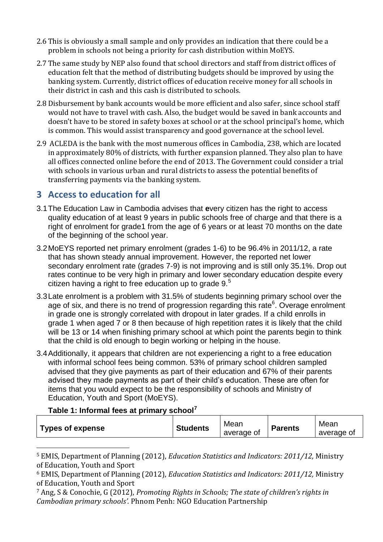- 2.6 This is obviously a small sample and only provides an indication that there could be a problem in schools not being a priority for cash distribution within MoEYS.
- 2.7 The same study by NEP also found that school directors and staff from district offices of education felt that the method of distributing budgets should be improved by using the banking system. Currently, district offices of education receive money for all schools in their district in cash and this cash is distributed to schools.
- 2.8 Disbursement by bank accounts would be more efficient and also safer, since school staff would not have to travel with cash. Also, the budget would be saved in bank accounts and doesn't have to be stored in safety boxes at school or at the school principal's home, which is common. This would assist transparency and good governance at the school level.
- 2.9 ACLEDA is the bank with the most numerous offices in Cambodia, 238, which are located in approximately 80% of districts, with further expansion planned. They also plan to have all offices connected online before the end of 2013. The Government could consider a trial with schools in various urban and rural districts to assess the potential benefits of transferring payments via the banking system.

### **3 Access to education for all**

- 3.1The Education Law in Cambodia advises that **e**very citizen has the right to access quality education of at least 9 years in public schools free of charge and that there is a right of enrolment for grade1 from the age of 6 years or at least 70 months on the date of the beginning of the school year.
- 3.2MoEYS reported net primary enrolment (grades 1-6) to be 96.4% in 2011/12, a rate that has shown steady annual improvement. However, the reported net lower secondary enrolment rate (grades 7-9) is not improving and is still only 35.1%. Drop out rates continue to be very high in primary and lower secondary education despite every citizen having a right to free education up to grade  $9<sup>5</sup>$
- 3.3Late enrolment is a problem with 31.5% of students beginning primary school over the age of six, and there is no trend of progression regarding this rate<sup>6</sup>. Overage enrolment in grade one is strongly correlated with dropout in later grades. If a child enrolls in grade 1 when aged 7 or 8 then because of high repetition rates it is likely that the child will be 13 or 14 when finishing primary school at which point the parents begin to think that the child is old enough to begin working or helping in the house.
- 3.4Additionally, it appears that children are not experiencing a right to a free education with informal school fees being common. 53% of primary school children sampled advised that they give payments as part of their education and 67% of their parents advised they made payments as part of their child's education. These are often for items that you would expect to be the responsibility of schools and Ministry of Education, Youth and Sport (MoEYS).

#### **Table 1: Informal fees at primary school<sup>7</sup>**

l

| Types of expense | <b>Students</b> | Mean<br>average of | <b>Parents</b> | Mean<br>average of |
|------------------|-----------------|--------------------|----------------|--------------------|
|------------------|-----------------|--------------------|----------------|--------------------|

<sup>5</sup> EMIS, Department of Planning (2012), *Education Statistics and Indicators: 2011/12,* Ministry of Education, Youth and Sport

<sup>7</sup> Ang, S & Conochie, G (2012), *Promoting Rights in Schools; The state of children's rights in Cambodian primary schools'.* Phnom Penh: NGO Education Partnership

<sup>6</sup> EMIS, Department of Planning (2012), *Education Statistics and Indicators: 2011/12,* Ministry of Education, Youth and Sport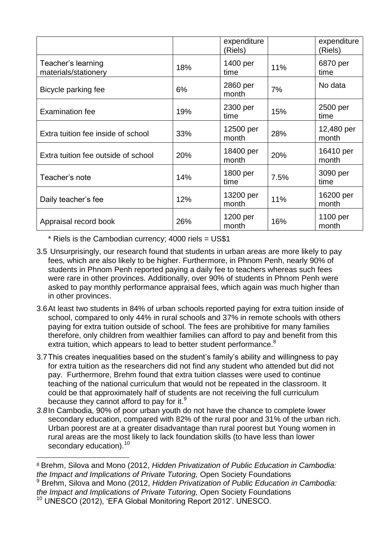|                                            |     | expenditure<br>(Riels) |      | expenditure<br>(Riels) |
|--------------------------------------------|-----|------------------------|------|------------------------|
| Teacher's learning<br>materials/stationery | 18% | 1400 per<br>time       | 11%  | 6870 per<br>time       |
| Bicycle parking fee                        | 6%  | 2860 per<br>month      | 7%   | No data                |
| <b>Examination fee</b>                     | 19% | 2300 per<br>time       | 15%  | 2500 per<br>time       |
| Extra tuition fee inside of school         | 33% | 12500 per<br>month     | 28%  | 12,480 per<br>month    |
| Extra tuition fee outside of school        | 20% | 18400 per<br>month     | 20%  | 16410 per<br>month     |
| Teacher's note                             | 14% | 1800 per<br>time       | 7.5% | 3090 per<br>time       |
| Daily teacher's fee                        | 12% | 13200 per<br>month     | 11%  | 16200 per<br>month     |
| Appraisal record book                      | 26% | 1200 per<br>month      | 16%  | 1100 per<br>month      |

\* Riels is the Cambodian currency; 4000 riels = US\$1

 $\overline{a}$ 

- 3.5 Unsurprisingly, our research found that students in urban areas are more likely to pay fees, which are also likely to be higher. Furthermore, in Phnom Penh, nearly 90% of students in Phnom Penh reported paying a daily fee to teachers whereas such fees were rare in other provinces. Additionally, over 90% of students in Phnom Penh were asked to pay monthly performance appraisal fees, which again was much higher than in other provinces.
- 3.6At least two students in 84% of urban schools reported paying for extra tuition inside of school, compared to only 44% in rural schools and 37% in remote schools with others paying for extra tuition outside of school. The fees are prohibitive for many families therefore, only children from wealthier families can afford to pay and benefit from this extra tuition, which appears to lead to better student performance.<sup>8</sup>
- 3.7This creates inequalities based on the student's family's ability and willingness to pay for extra tuition as the researchers did not find any student who attended but did not pay. Furthermore, Brehm found that extra tuition classes were used to continue teaching of the national curriculum that would not be repeated in the classroom. It could be that approximately half of students are not receiving the full curriculum because they cannot afford to pay for it.<sup>9</sup>
- *3.8*In Cambodia, 90% of poor urban youth do not have the chance to complete lower secondary education, compared with 82% of the rural poor and 31% of the urban rich. Urban poorest are at a greater disadvantage than rural poorest but Young women in rural areas are the most likely to lack foundation skills (to have less than lower secondary education).<sup>10</sup>

<sup>8</sup> Brehm, Silova and Mono (2012, *Hidden Privatization of Public Education in Cambodia: the Impact and Implications of Private Tutoring,* Open Society Foundations <sup>9</sup> Brehm, Silova and Mono (2012, *Hidden Privatization of Public Education in Cambodia: the Impact and Implications of Private Tutoring,* Open Society Foundations <sup>10</sup> UNESCO (2012), 'EFA Global Monitoring Report 2012'. UNESCO.